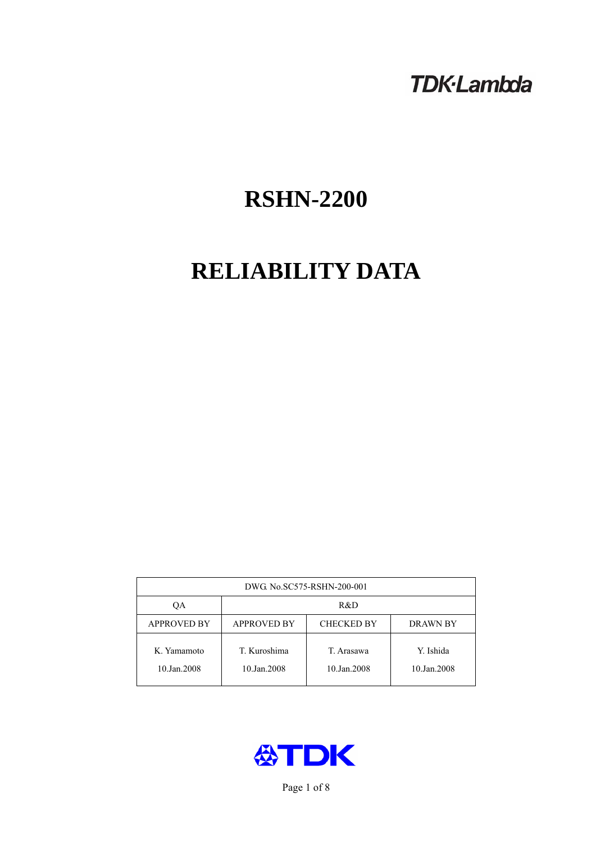# **TDK-Lambda**

# **RSHN-2200**

# **RELIABILITY DATA**

| DWG. No.SC575-RSHN-200-001 |                                                     |                           |                          |  |  |
|----------------------------|-----------------------------------------------------|---------------------------|--------------------------|--|--|
| OА                         | R&D                                                 |                           |                          |  |  |
| <b>APPROVED BY</b>         | <b>APPROVED BY</b><br><b>CHECKED BY</b><br>DRAWN BY |                           |                          |  |  |
| K. Yamamoto<br>10.Jan.2008 | T. Kuroshima<br>10.Jan.2008                         | T. Arasawa<br>10.Jan.2008 | Y. Ishida<br>10.Jan.2008 |  |  |



Page 1 of 8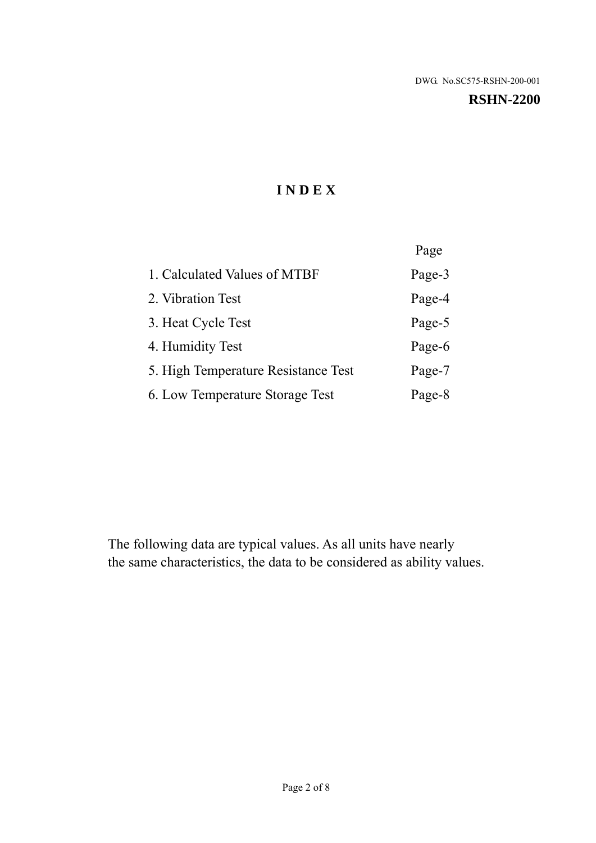# **RSHN-2200**

# **I N D E X**

|                                     | Page   |
|-------------------------------------|--------|
| 1. Calculated Values of MTBF        | Page-3 |
| 2. Vibration Test                   | Page-4 |
| 3. Heat Cycle Test                  | Page-5 |
| 4. Humidity Test                    | Page-6 |
| 5. High Temperature Resistance Test | Page-7 |
| 6. Low Temperature Storage Test     | Page-8 |

The following data are typical values. As all units have nearly the same characteristics, the data to be considered as ability values.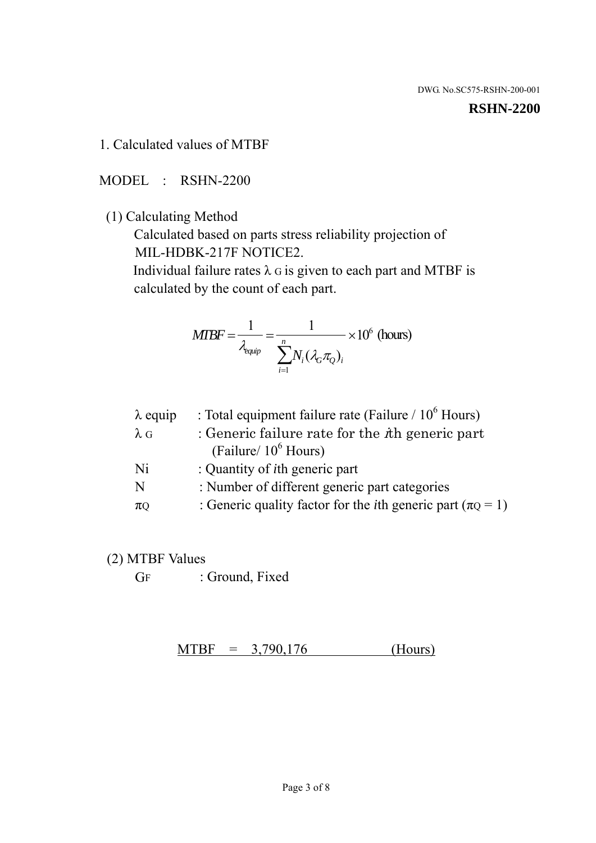#### **RSHN-2200**

1. Calculated values of MTBF

MODEL : RSHN-2200

(1) Calculating Method

 Calculated based on parts stress reliability projection of MIL-HDBK-217F NOTICE2.

Individual failure rates  $\lambda$  G is given to each part and MTBF is calculated by the count of each part.

$$
MTBF = \frac{1}{\lambda_{\text{equip}}} = \frac{1}{\sum_{i=1}^{n} N_i (\lambda_G \pi_Q)_i} \times 10^6 \text{ (hours)}
$$

| $\lambda$ equip | : Total equipment failure rate (Failure $/ 10^6$ Hours)                   |
|-----------------|---------------------------------------------------------------------------|
| $\lambda$ G     | : Generic failure rate for the $\hbar$ generic part                       |
|                 | (Failure/ $10^6$ Hours)                                                   |
| Ni              | : Quantity of <i>i</i> th generic part                                    |
| N               | : Number of different generic part categories                             |
| $\pi$ Q         | : Generic quality factor for the <i>i</i> th generic part ( $\pi Q = 1$ ) |

- (2) MTBF Values
	- GF : Ground, Fixed

 $MTBF = 3,790,176$  (Hours)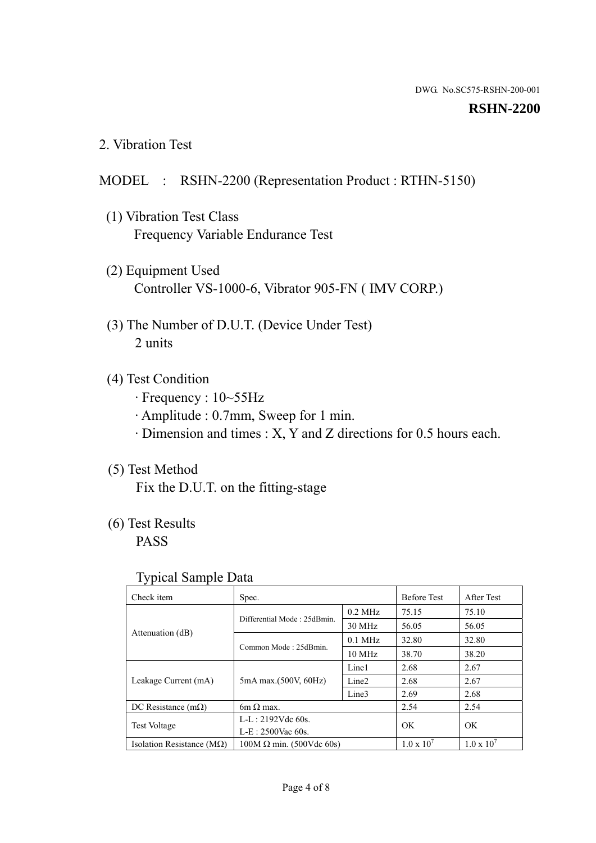#### **RSHN-2200**

2. Vibration Test

## MODEL : RSHN-2200 (Representation Product : RTHN-5150)

- (1) Vibration Test Class Frequency Variable Endurance Test
- (2) Equipment Used Controller VS-1000-6, Vibrator 905-FN ( IMV CORP.)
- (3) The Number of D.U.T. (Device Under Test) 2 units
- (4) Test Condition
	- · Frequency : 10~55Hz
	- · Amplitude : 0.7mm, Sweep for 1 min.
	- · Dimension and times : X, Y and Z directions for 0.5 hours each.

# (5) Test Method

Fix the D.U.T. on the fitting-stage

# (6) Test Results

PASS

#### Typical Sample Data

| Check item                         | Spec.                           |                   | <b>Before Test</b>  | After Test          |
|------------------------------------|---------------------------------|-------------------|---------------------|---------------------|
|                                    | Differential Mode: 25dBmin.     | $0.2$ MHz         | 75.15               | 75.10               |
|                                    |                                 | 30 MHz            | 56.05               | 56.05               |
| Attenuation (dB)                   | Common Mode: 25dBmin.           | $0.1$ MHz         | 32.80               | 32.80               |
|                                    |                                 | 10 MHz            | 38.70               | 38.20               |
| Leakage Current (mA)               | 5mA max.(500V, 60Hz)            | Line1             | 2.68                | 2.67                |
|                                    |                                 | Line <sub>2</sub> | 2.68                | 2.67                |
|                                    |                                 | Line3             | 2.69                | 2.68                |
| DC Resistance $(m\Omega)$          | 6m $\Omega$ max.                |                   | 2.54                | 2.54                |
| <b>Test Voltage</b>                | $L-L: 2192Vdc$ 60s.             |                   | OK                  | OK                  |
|                                    | $L-E$ : 2500Vac 60s.            |                   |                     |                     |
| Isolation Resistance ( $M\Omega$ ) | $100M \Omega$ min. (500Vdc 60s) |                   | $1.0 \times 10^{7}$ | $1.0 \times 10^{7}$ |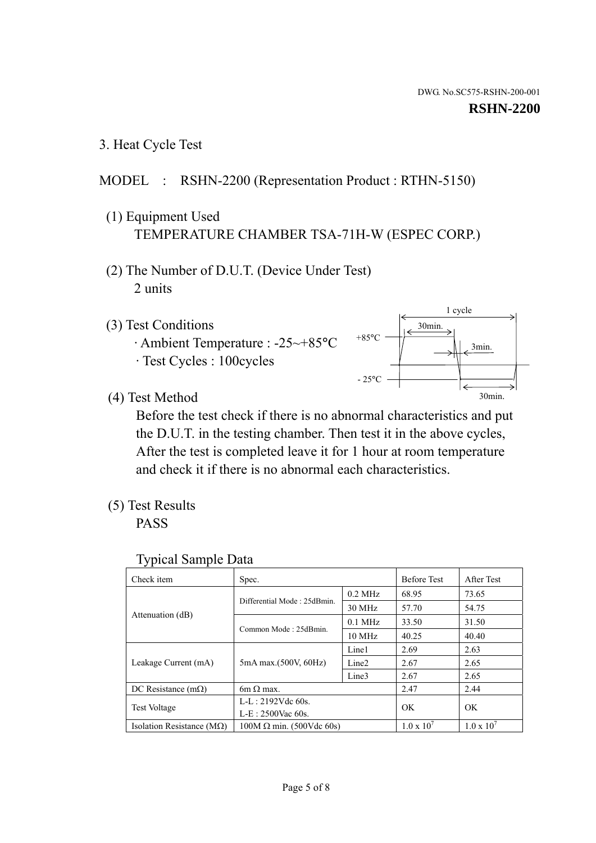1 cycle

30min.

3min.

30min.

3. Heat Cycle Test

# MODEL : RSHN-2200 (Representation Product : RTHN-5150)

- (1) Equipment Used TEMPERATURE CHAMBER TSA-71H-W (ESPEC CORP.)
- (2) The Number of D.U.T. (Device Under Test) 2 units
- (3) Test Conditions
	- · Ambient Temperature : -25~+85°C · Test Cycles : 100cycles
- (4) Test Method

 Before the test check if there is no abnormal characteristics and put the D.U.T. in the testing chamber. Then test it in the above cycles, After the test is completed leave it for 1 hour at room temperature and check it if there is no abnormal each characteristics.

+85°C

 $-25^{\circ}$ C

(5) Test Results

PASS

| <b>Typical Sample Data</b> |  |  |
|----------------------------|--|--|
|----------------------------|--|--|

| Check item                         | Spec.                           |                   | <b>Before Test</b>  | After Test          |
|------------------------------------|---------------------------------|-------------------|---------------------|---------------------|
|                                    | Differential Mode: 25dBmin.     | $0.2$ MHz         | 68.95               | 73.65               |
|                                    |                                 | $30$ MHz          | 57.70               | 54.75               |
| Attenuation (dB)                   | Common Mode: 25dBmin.           | $0.1$ MHz         | 33.50               | 31.50               |
|                                    |                                 | $10$ MHz          | 40.25               | 40.40               |
| Leakage Current (mA)               | 5mA max.(500V, 60Hz)            | Line1             | 2.69                | 2.63                |
|                                    |                                 | Line <sub>2</sub> | 2.67                | 2.65                |
|                                    |                                 | Line3             | 2.67                | 2.65                |
| DC Resistance $(m\Omega)$          | 6m $\Omega$ max.                |                   | 2.47                | 2.44                |
| Test Voltage                       | $L-L: 2192Vdc$ 60s.             |                   | OK                  | OK                  |
|                                    | $L-E$ : 2500Vac 60s.            |                   |                     |                     |
| Isolation Resistance ( $M\Omega$ ) | $100M \Omega$ min. (500Vdc 60s) |                   | $1.0 \times 10^{7}$ | $1.0 \times 10^{7}$ |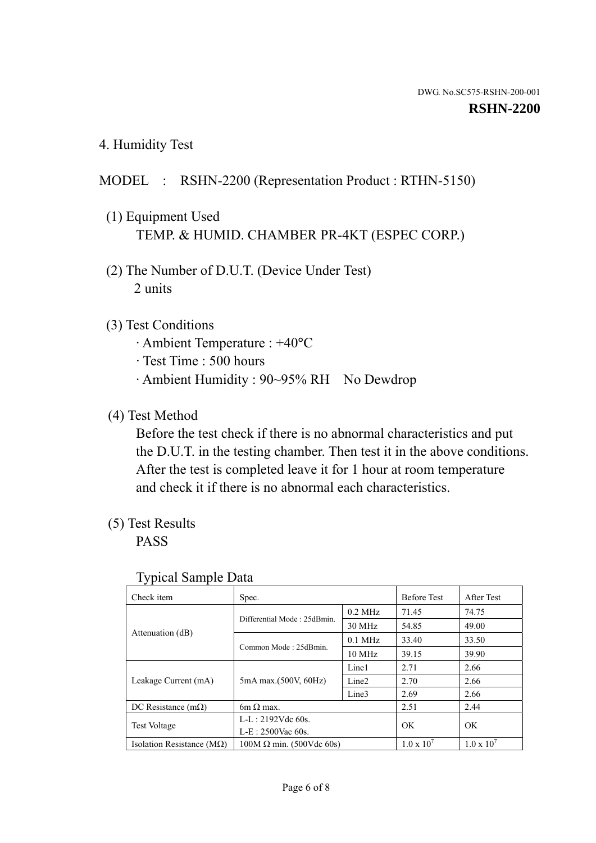4. Humidity Test

# MODEL : RSHN-2200 (Representation Product : RTHN-5150)

- (1) Equipment Used TEMP. & HUMID. CHAMBER PR-4KT (ESPEC CORP.)
- (2) The Number of D.U.T. (Device Under Test) 2 units

#### (3) Test Conditions

- · Ambient Temperature : +40°C
- · Test Time : 500 hours
- · Ambient Humidity : 90~95% RH No Dewdrop

# (4) Test Method

 Before the test check if there is no abnormal characteristics and put the D.U.T. in the testing chamber. Then test it in the above conditions. After the test is completed leave it for 1 hour at room temperature and check it if there is no abnormal each characteristics.

## (5) Test Results

PASS

| Check item                         | Spec.                           |                   | <b>Before Test</b>  | After Test          |
|------------------------------------|---------------------------------|-------------------|---------------------|---------------------|
|                                    | Differential Mode: 25dBmin.     | $0.2$ MHz         | 71.45               | 74.75               |
|                                    |                                 | 30 MHz            | 54.85               | 49.00               |
| Attenuation (dB)                   | Common Mode: 25dBmin.           | $0.1$ MHz         | 33.40               | 33.50               |
|                                    |                                 | 10 MHz            | 39.15               | 39.90               |
| Leakage Current (mA)               | 5mA max.(500V, 60Hz)            | Line1             | 2.71                | 2.66                |
|                                    |                                 | Line <sub>2</sub> | 2.70                | 2.66                |
|                                    |                                 | Line3             | 2.69                | 2.66                |
| DC Resistance $(m\Omega)$          | $6m \Omega$ max.                |                   | 2.51                | 2.44                |
| <b>Test Voltage</b>                | $L-L: 2192Vdc$ 60s.             |                   | OK                  | OK                  |
|                                    | $L-E: 2500$ Vac 60s.            |                   |                     |                     |
| Isolation Resistance ( $M\Omega$ ) | $100M \Omega$ min. (500Vdc 60s) |                   | $1.0 \times 10^{7}$ | $1.0 \times 10^{7}$ |

#### Typical Sample Data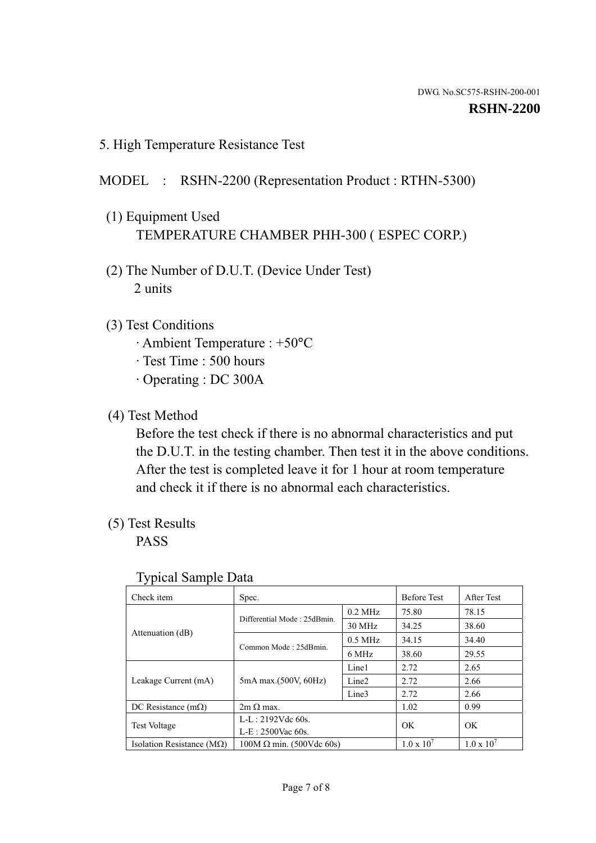5. High Temperature Resistance Test

# MODEL : RSHN-2200 (Representation Product : RTHN-5300)

- (1) Equipment Used TEMPERATURE CHAMBER PHH-300 ( ESPEC CORP.)
- (2) The Number of D.U.T. (Device Under Test) 2 units
- (3) Test Conditions
	- · Ambient Temperature : +50°C
	- · Test Time : 500 hours
	- · Operating : DC 300A
- (4) Test Method

 Before the test check if there is no abnormal characteristics and put the D.U.T. in the testing chamber. Then test it in the above conditions. After the test is completed leave it for 1 hour at room temperature and check it if there is no abnormal each characteristics.

(5) Test Results

PASS

| . .<br>Check item                  | Spec.                           |                   | <b>Before Test</b>  | After Test          |
|------------------------------------|---------------------------------|-------------------|---------------------|---------------------|
|                                    | Differential Mode: 25dBmin.     | $0.2$ MHz         | 75.80               | 78.15               |
|                                    |                                 | 30 MHz            | 34.25               | 38.60               |
| Attenuation (dB)                   | Common Mode: 25dBmin.           | $0.5$ MHz         | 34.15               | 34.40               |
|                                    |                                 | 6 MHz             | 38.60               | 29.55               |
| Leakage Current (mA)               | 5mA max.(500V, 60Hz)            | Line1             | 2.72                | 2.65                |
|                                    |                                 | Line <sub>2</sub> | 2.72                | 2.66                |
|                                    |                                 | Line3             | 2.72                | 2.66                |
| DC Resistance $(m\Omega)$          | $2m \Omega$ max.                |                   | 1.02                | 0.99                |
| <b>Test Voltage</b>                | $L-L: 2192Vdc$ 60s.             |                   | OK                  | OK                  |
|                                    | $L-E: 2500$ Vac 60s.            |                   |                     |                     |
| Isolation Resistance ( $M\Omega$ ) | $100M \Omega$ min. (500Vdc 60s) |                   | $1.0 \times 10^{7}$ | $1.0 \times 10^{7}$ |

#### Typical Sample Data